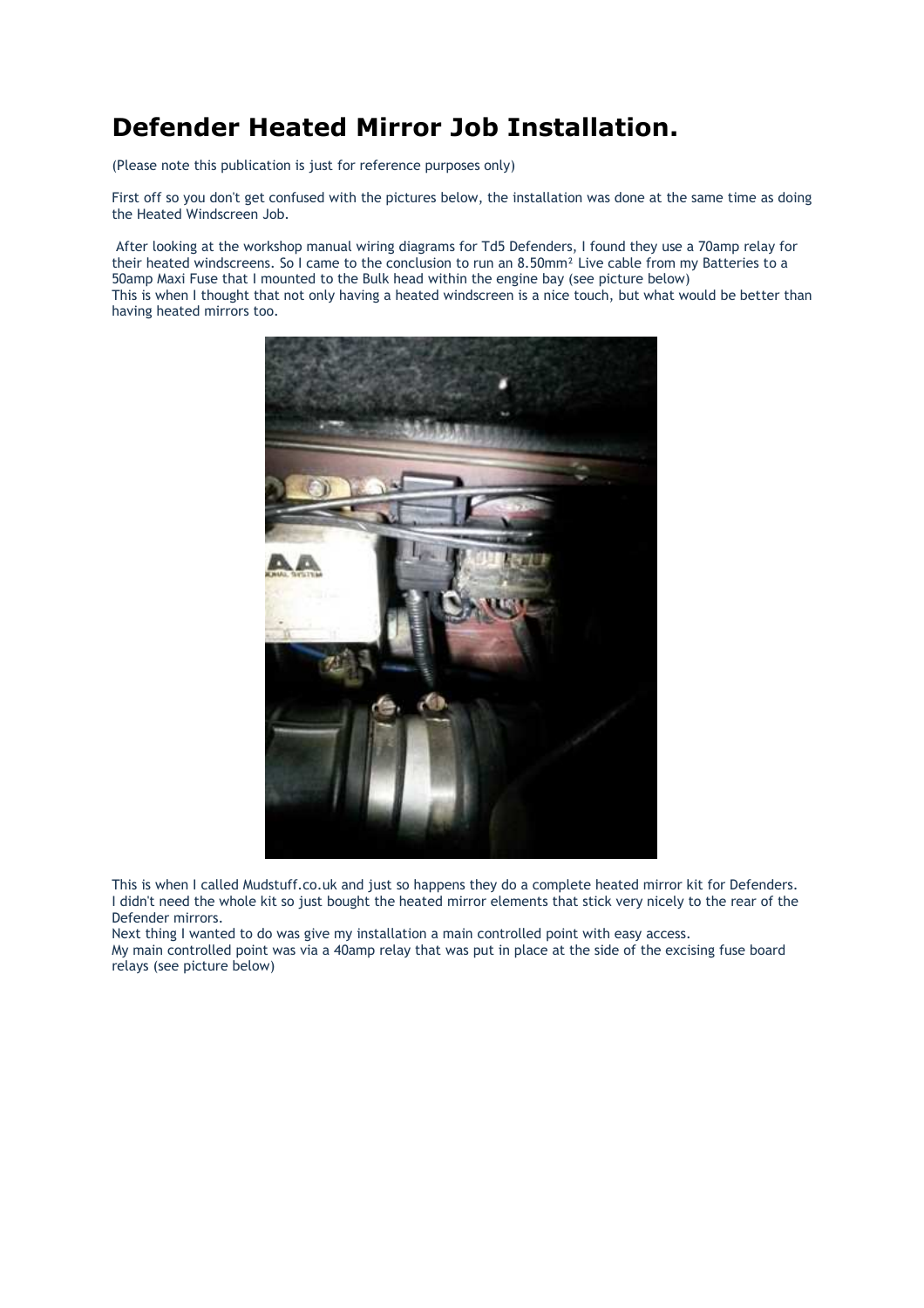## **Defender Heated Mirror Job Installation.**

(Please note this publication is just for reference purposes only)

First off so you don't get confused with the pictures below, the installation was done at the same time as doing the Heated Windscreen Job.

 After looking at the workshop manual wiring diagrams for Td5 Defenders, I found they use a 70amp relay for their heated windscreens. So I came to the conclusion to run an 8.50mm² Live cable from my Batteries to a 50amp Maxi Fuse that I mounted to the Bulk head within the engine bay (see picture below) This is when I thought that not only having a heated windscreen is a nice touch, but what would be better than having heated mirrors too.



This is when I called Mudstuff.co.uk and just so happens they do a complete heated mirror kit for Defenders. I didn't need the whole kit so just bought the heated mirror elements that stick very nicely to the rear of the Defender mirrors.

Next thing I wanted to do was give my installation a main controlled point with easy access.

My main controlled point was via a 40amp relay that was put in place at the side of the excising fuse board relays (see picture below)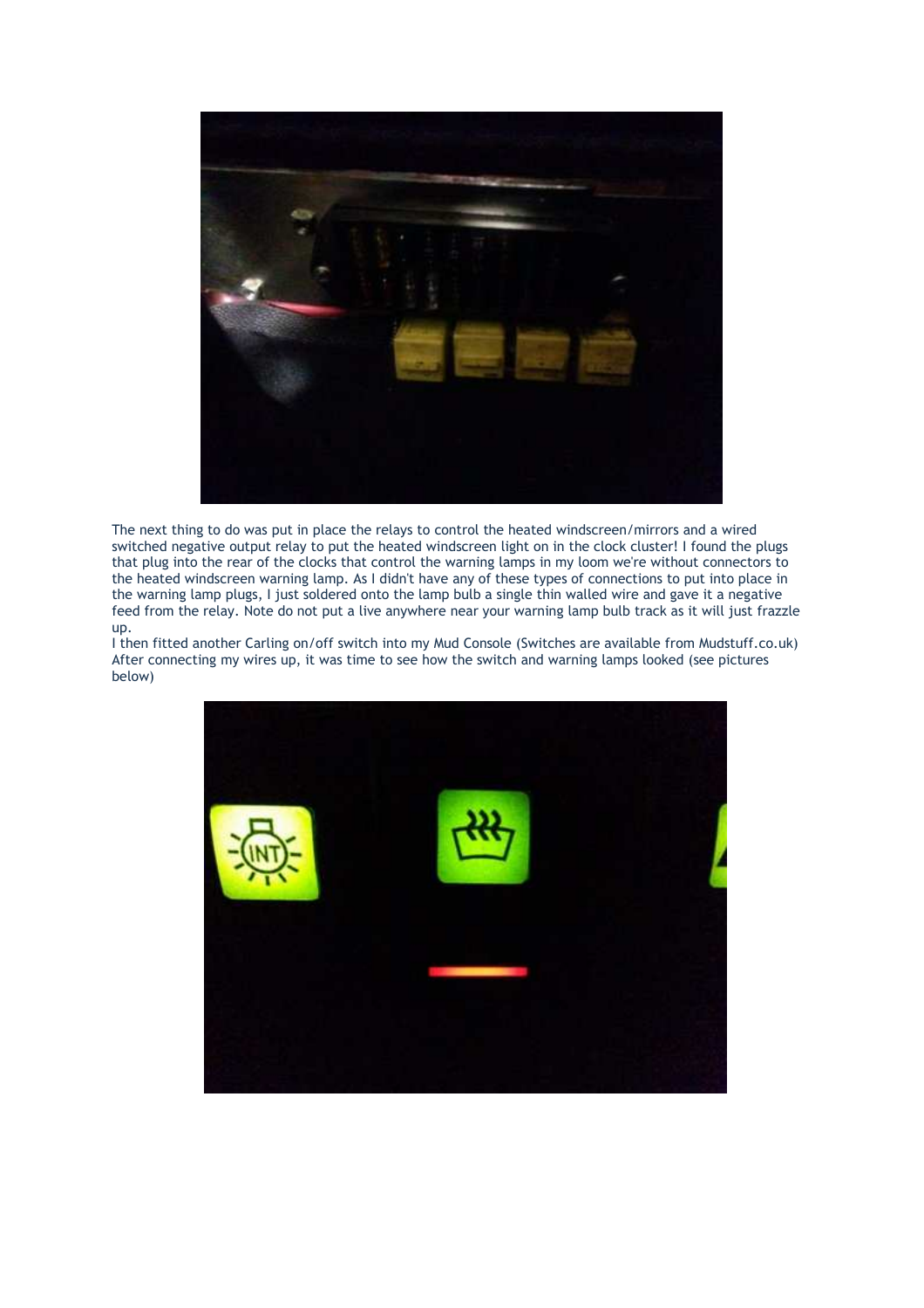

The next thing to do was put in place the relays to control the heated windscreen/mirrors and a wired switched negative output relay to put the heated windscreen light on in the clock cluster! I found the plugs that plug into the rear of the clocks that control the warning lamps in my loom we're without connectors to the heated windscreen warning lamp. As I didn't have any of these types of connections to put into place in the warning lamp plugs, I just soldered onto the lamp bulb a single thin walled wire and gave it a negative feed from the relay. Note do not put a live anywhere near your warning lamp bulb track as it will just frazzle up.

I then fitted another Carling on/off switch into my Mud Console (Switches are available from Mudstuff.co.uk) After connecting my wires up, it was time to see how the switch and warning lamps looked (see pictures below)

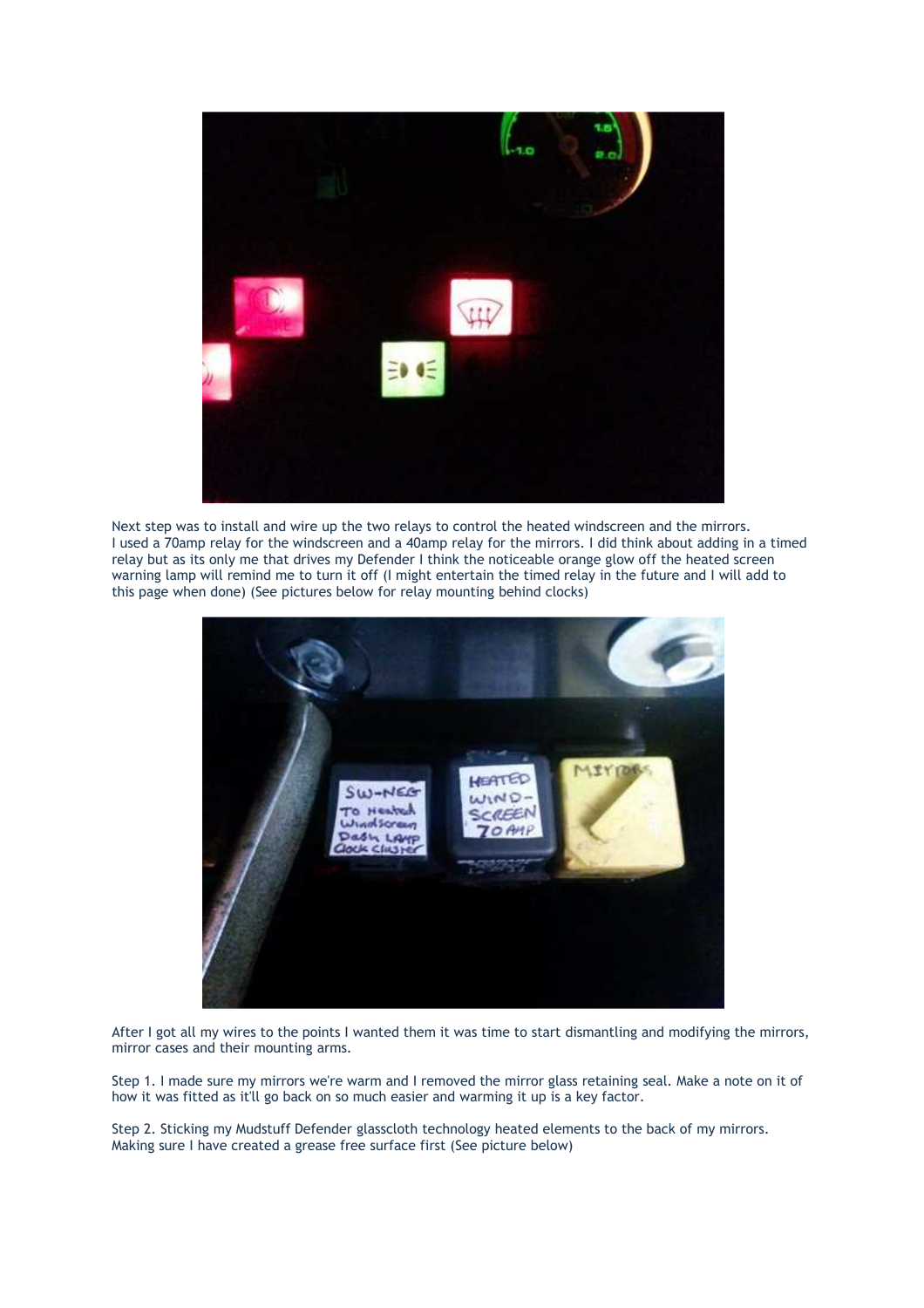

Next step was to install and wire up the two relays to control the heated windscreen and the mirrors. I used a 70amp relay for the windscreen and a 40amp relay for the mirrors. I did think about adding in a timed relay but as its only me that drives my Defender I think the noticeable orange glow off the heated screen warning lamp will remind me to turn it off (I might entertain the timed relay in the future and I will add to this page when done) (See pictures below for relay mounting behind clocks)



After I got all my wires to the points I wanted them it was time to start dismantling and modifying the mirrors, mirror cases and their mounting arms.

Step 1. I made sure my mirrors we're warm and I removed the mirror glass retaining seal. Make a note on it of how it was fitted as it'll go back on so much easier and warming it up is a key factor.

Step 2. Sticking my Mudstuff Defender glasscloth technology heated elements to the back of my mirrors. Making sure I have created a grease free surface first (See picture below)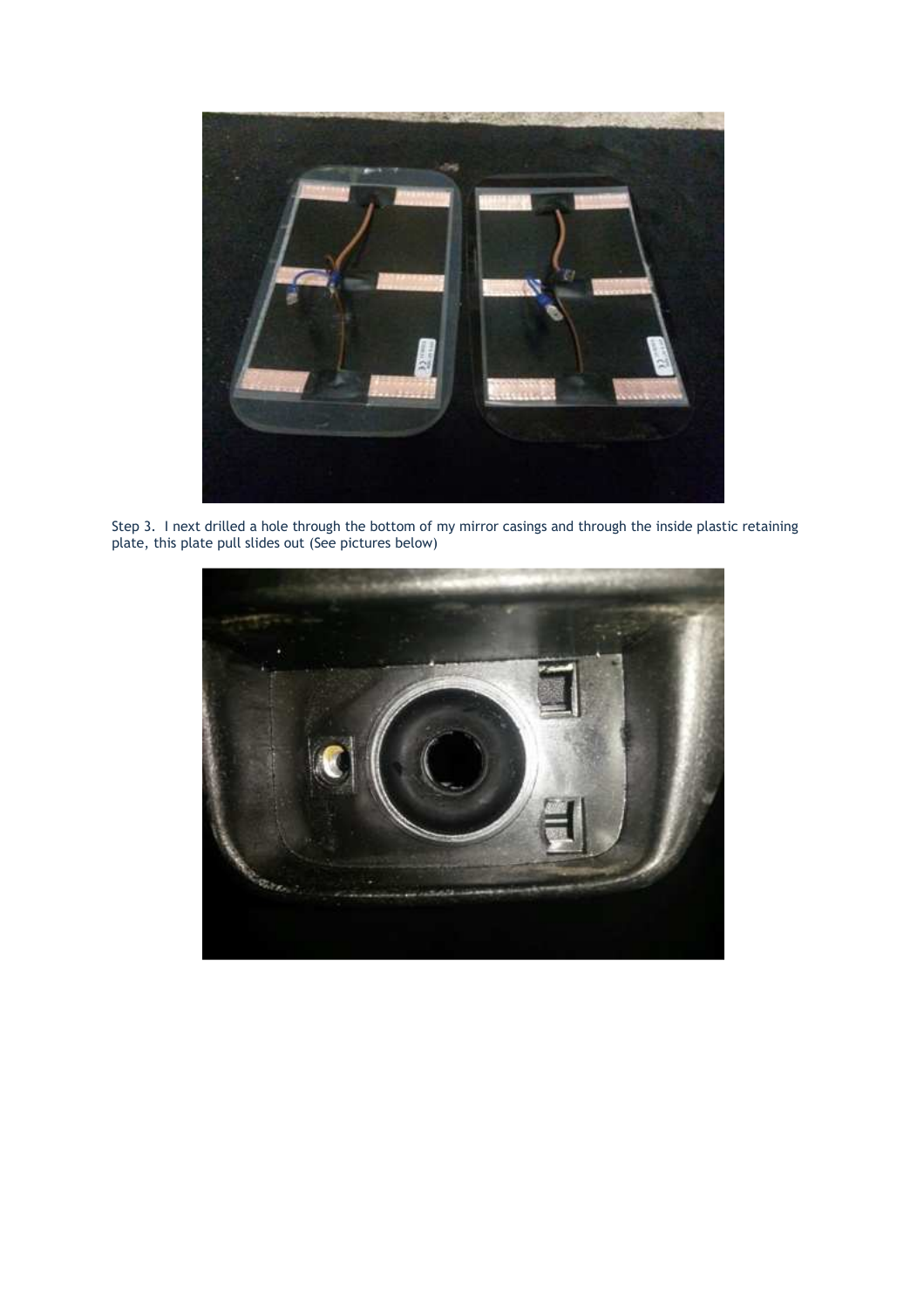

Step 3. I next drilled a hole through the bottom of my mirror casings and through the inside plastic retaining plate, this plate pull slides out (See pictures below)

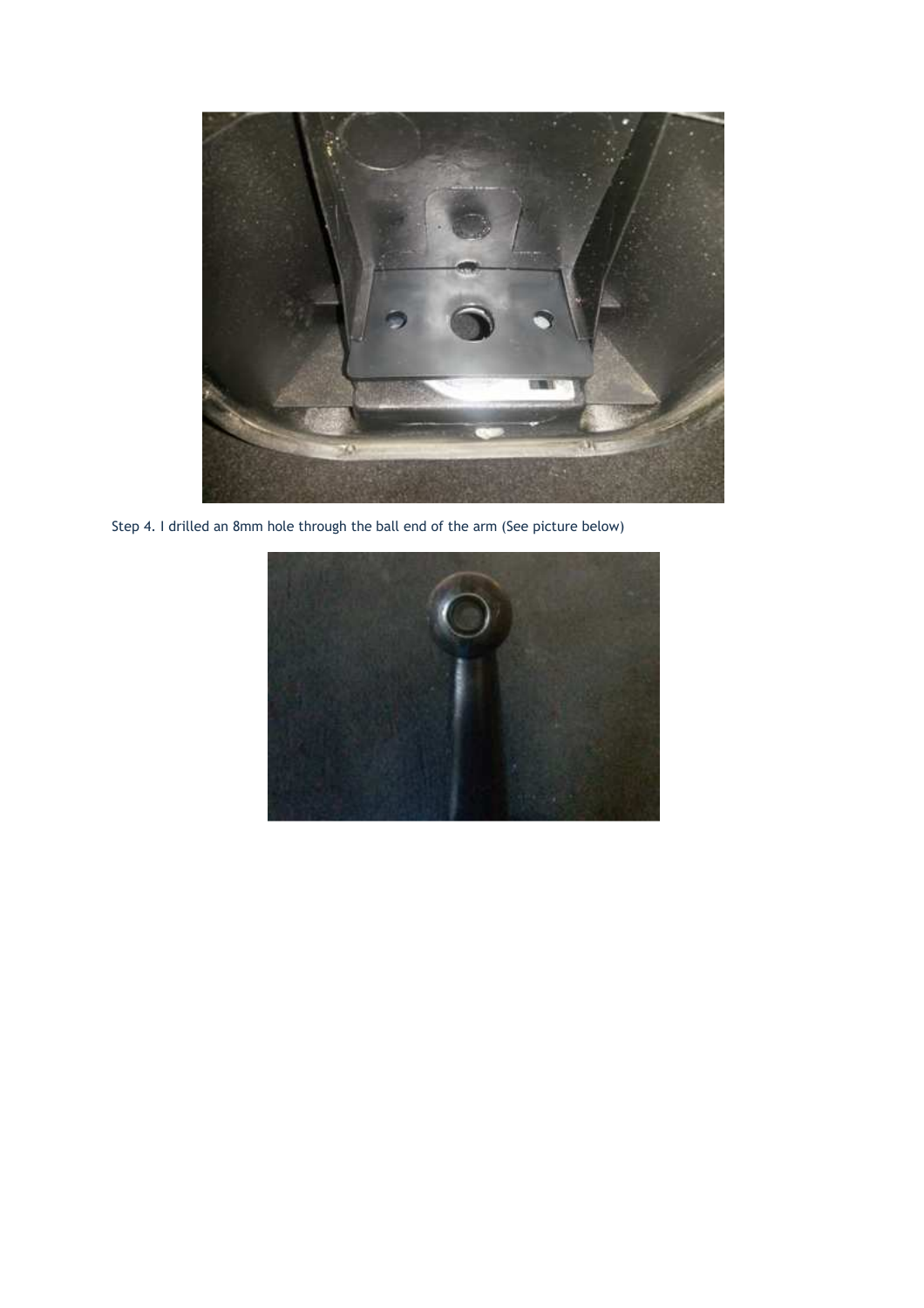

Step 4. I drilled an 8mm hole through the ball end of the arm (See picture below)

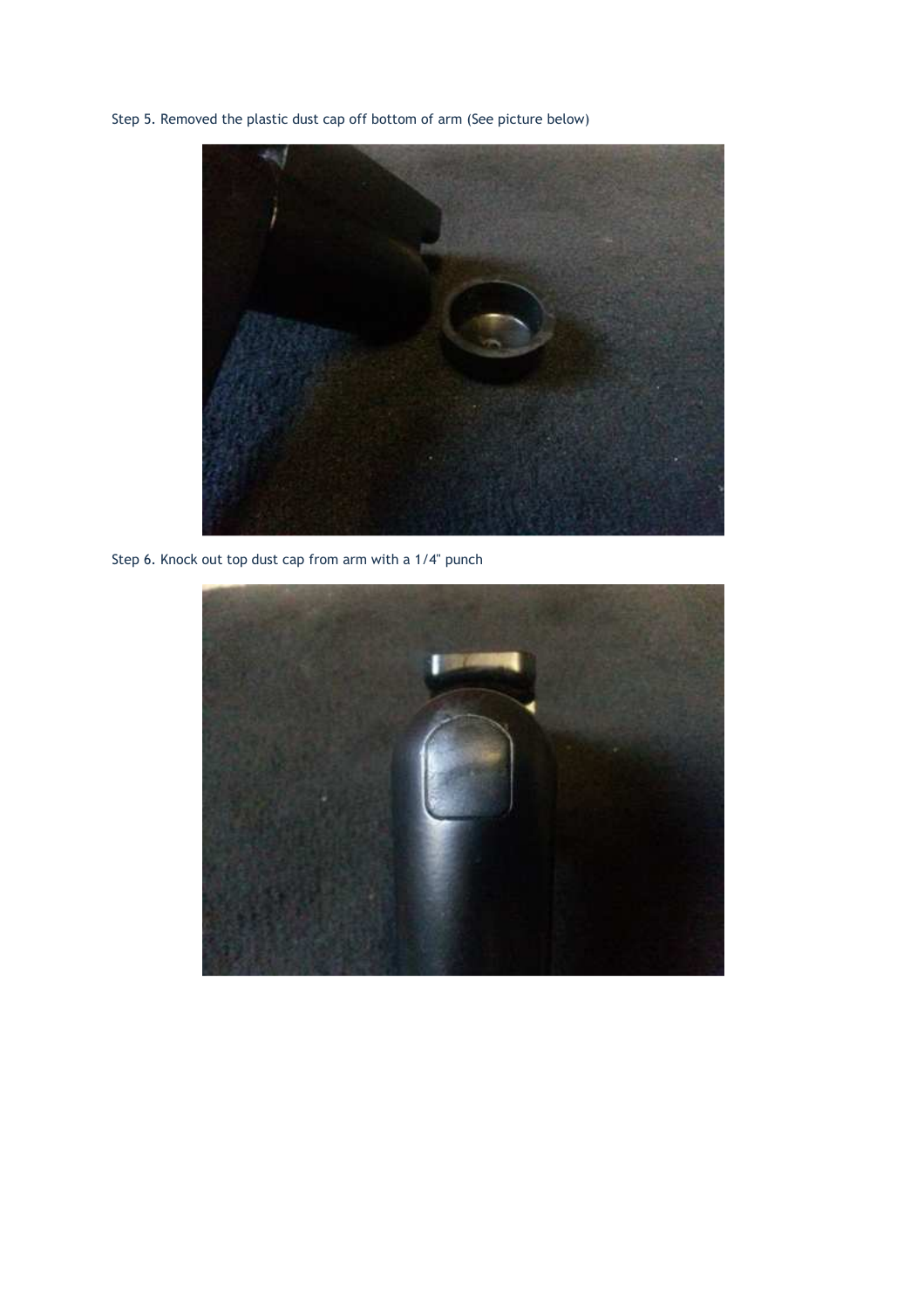Step 5. Removed the plastic dust cap off bottom of arm (See picture below)



Step 6. Knock out top dust cap from arm with a 1/4" punch

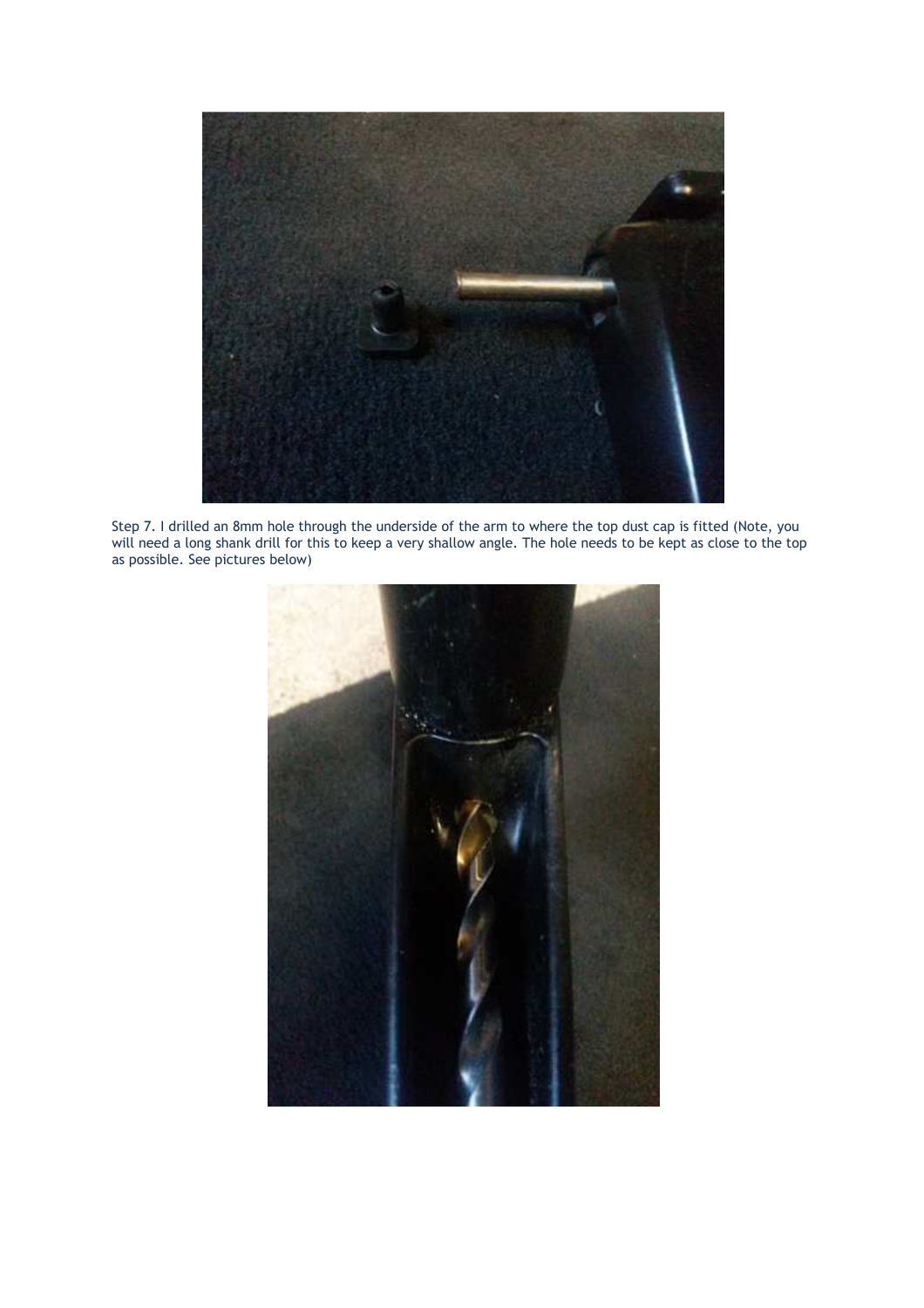

Step 7. I drilled an 8mm hole through the underside of the arm to where the top dust cap is fitted (Note, you will need a long shank drill for this to keep a very shallow angle. The hole needs to be kept as close to the top as possible. See pictures below)

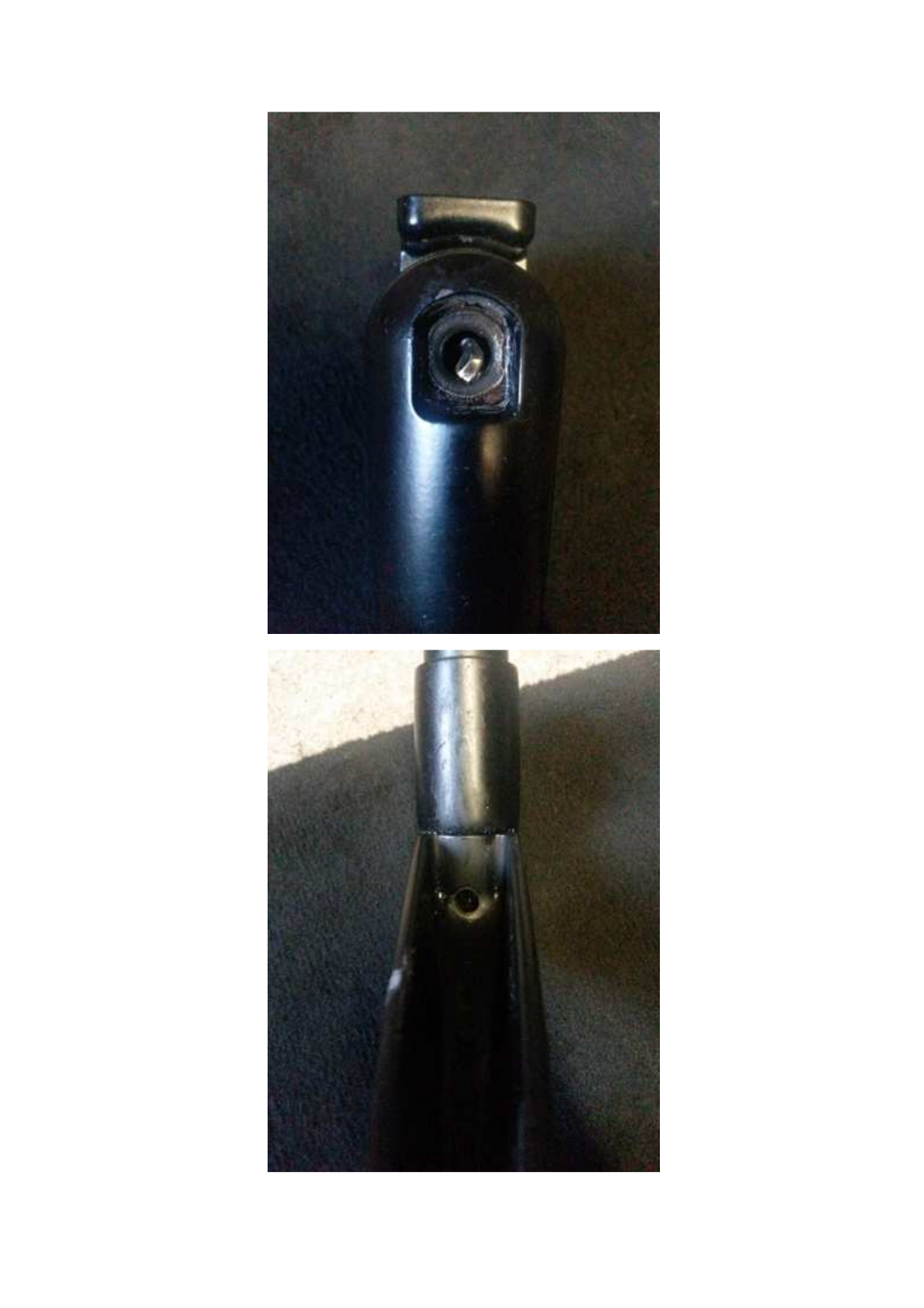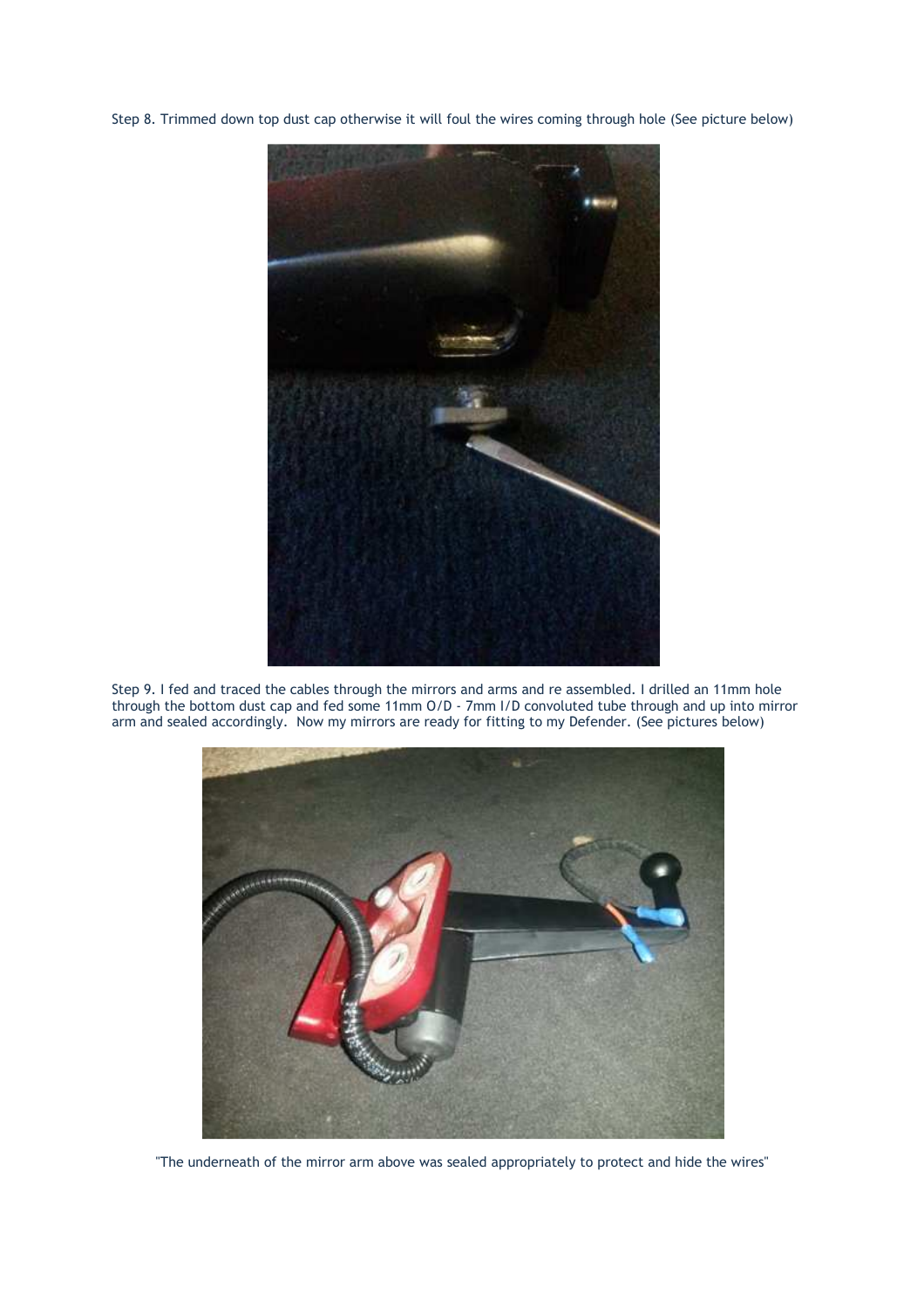Step 8. Trimmed down top dust cap otherwise it will foul the wires coming through hole (See picture below)



Step 9. I fed and traced the cables through the mirrors and arms and re assembled. I drilled an 11mm hole through the bottom dust cap and fed some 11mm O/D - 7mm I/D convoluted tube through and up into mirror arm and sealed accordingly. Now my mirrors are ready for fitting to my Defender. (See pictures below)



"The underneath of the mirror arm above was sealed appropriately to protect and hide the wires"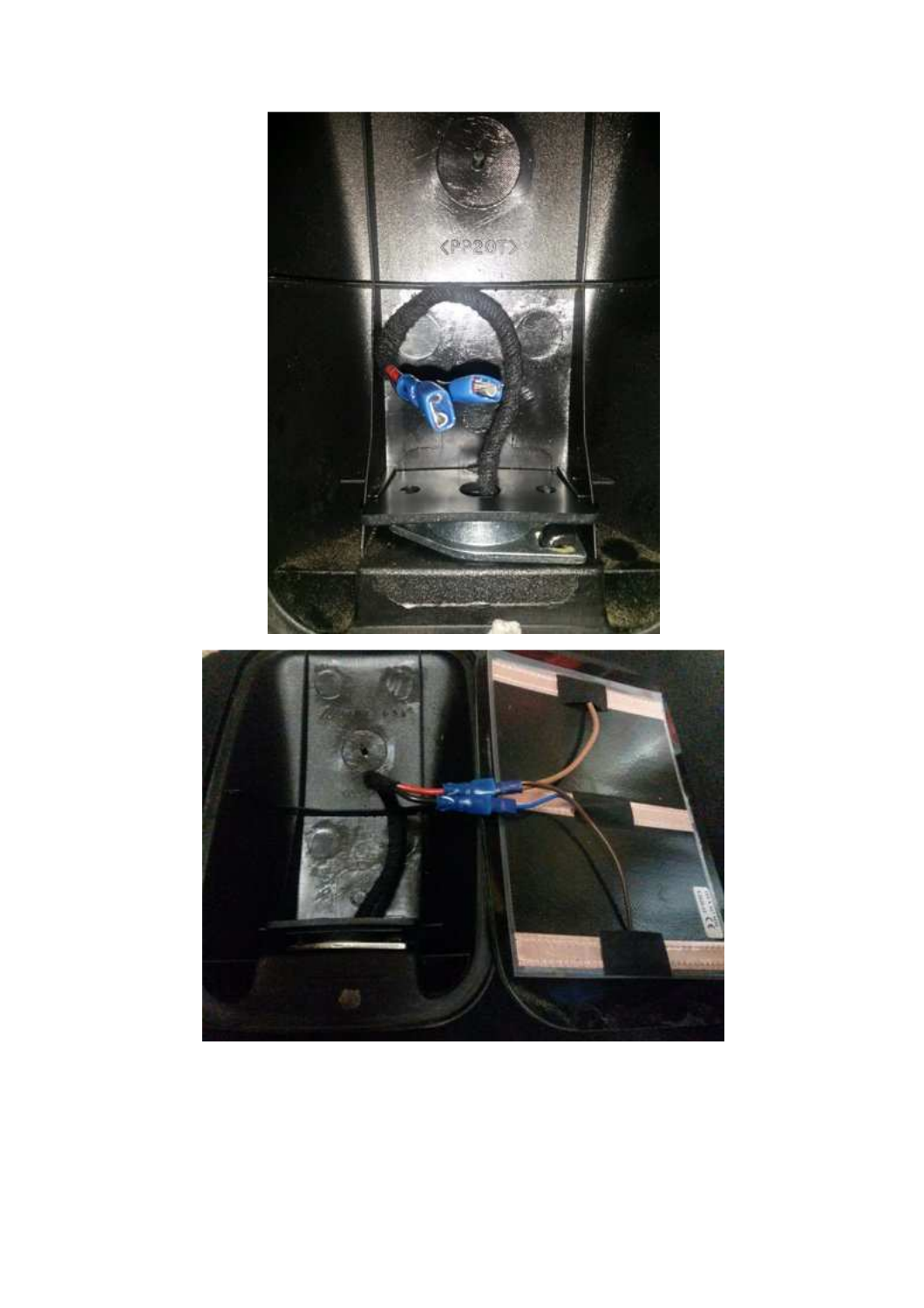

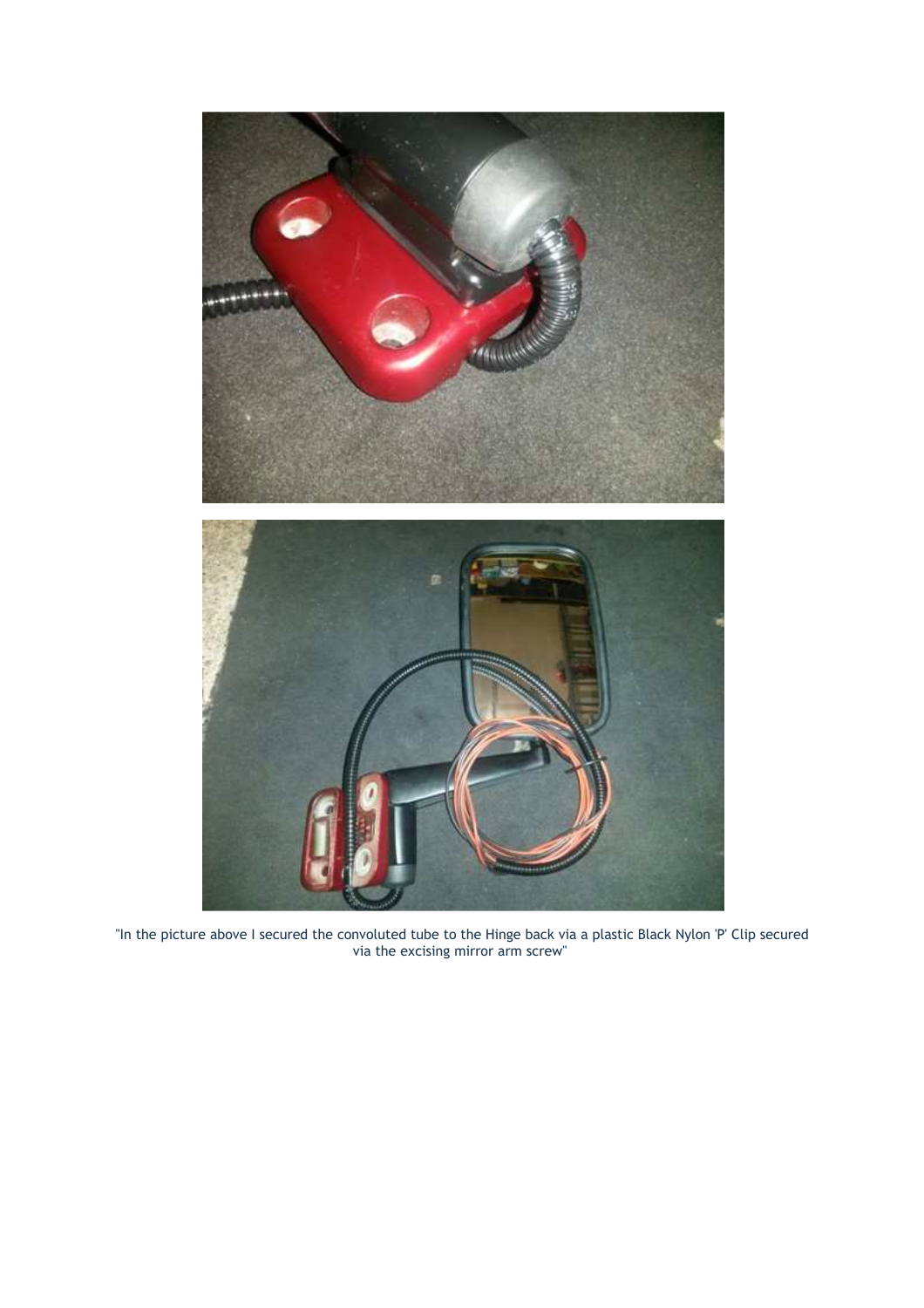

"In the picture above I secured the convoluted tube to the Hinge back via a plastic Black Nylon 'P' Clip secured via the excising mirror arm screw"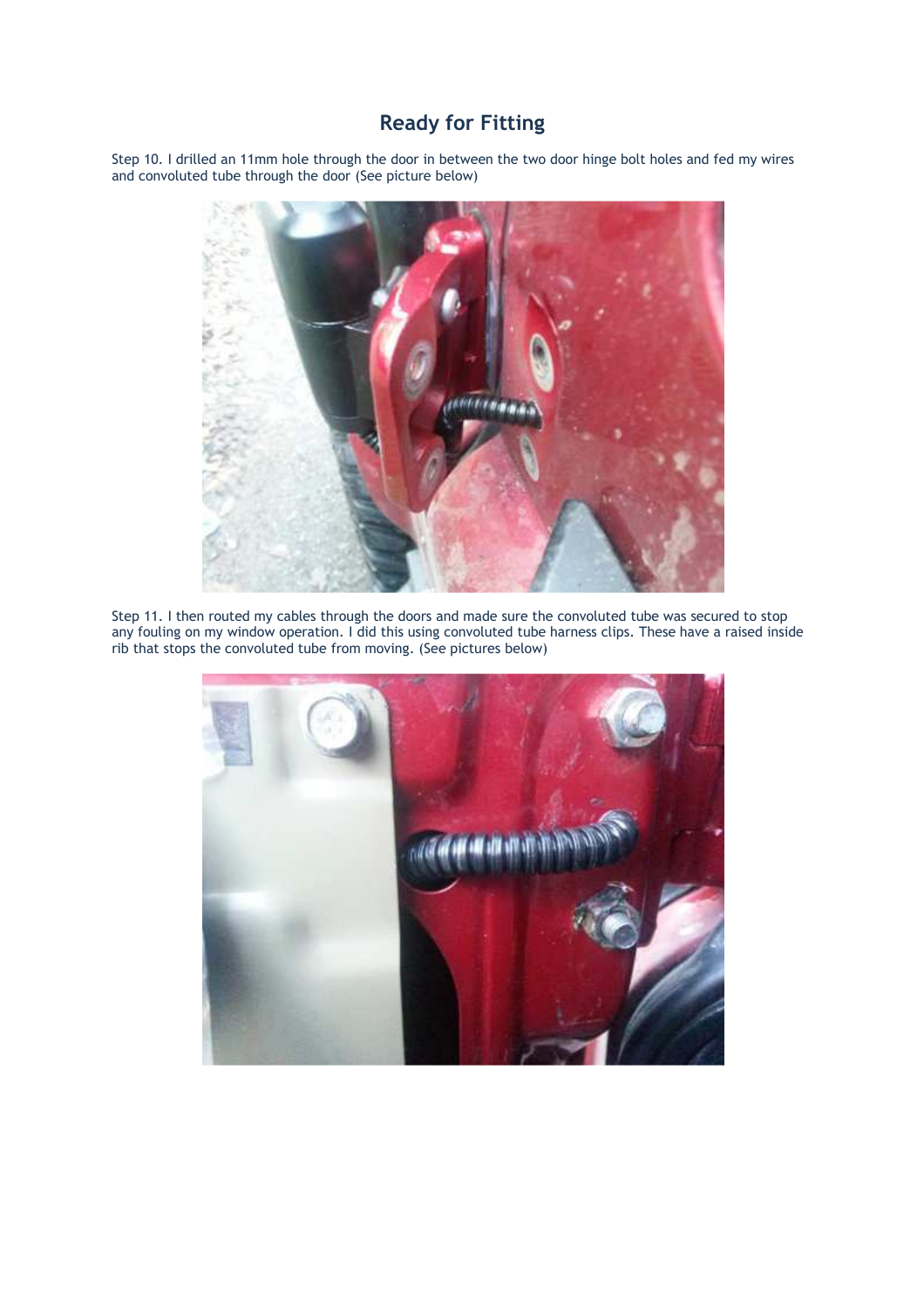## **Ready for Fitting**

Step 10. I drilled an 11mm hole through the door in between the two door hinge bolt holes and fed my wires and convoluted tube through the door (See picture below)



Step 11. I then routed my cables through the doors and made sure the convoluted tube was secured to stop any fouling on my window operation. I did this using convoluted tube harness clips. These have a raised inside rib that stops the convoluted tube from moving. (See pictures below)

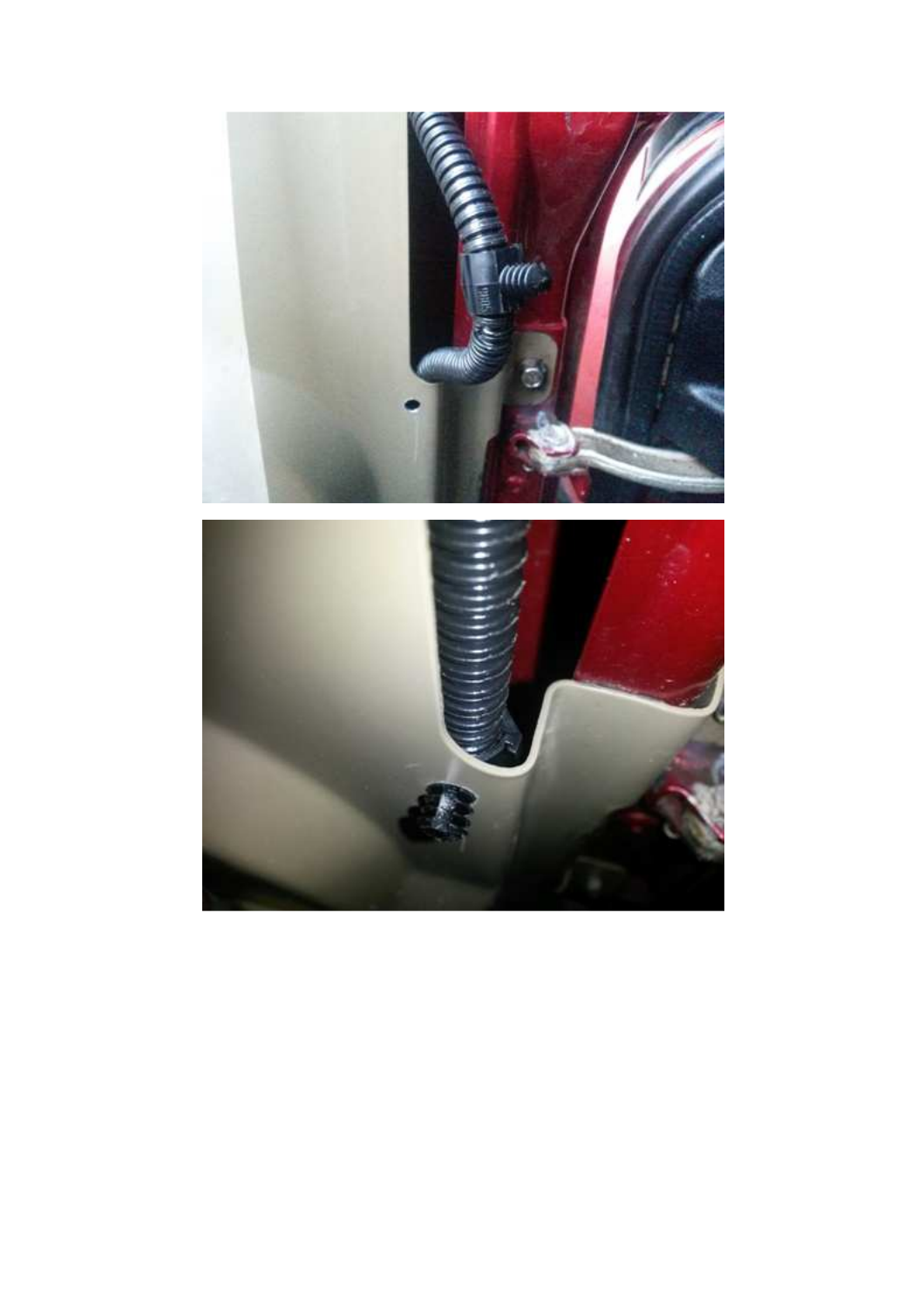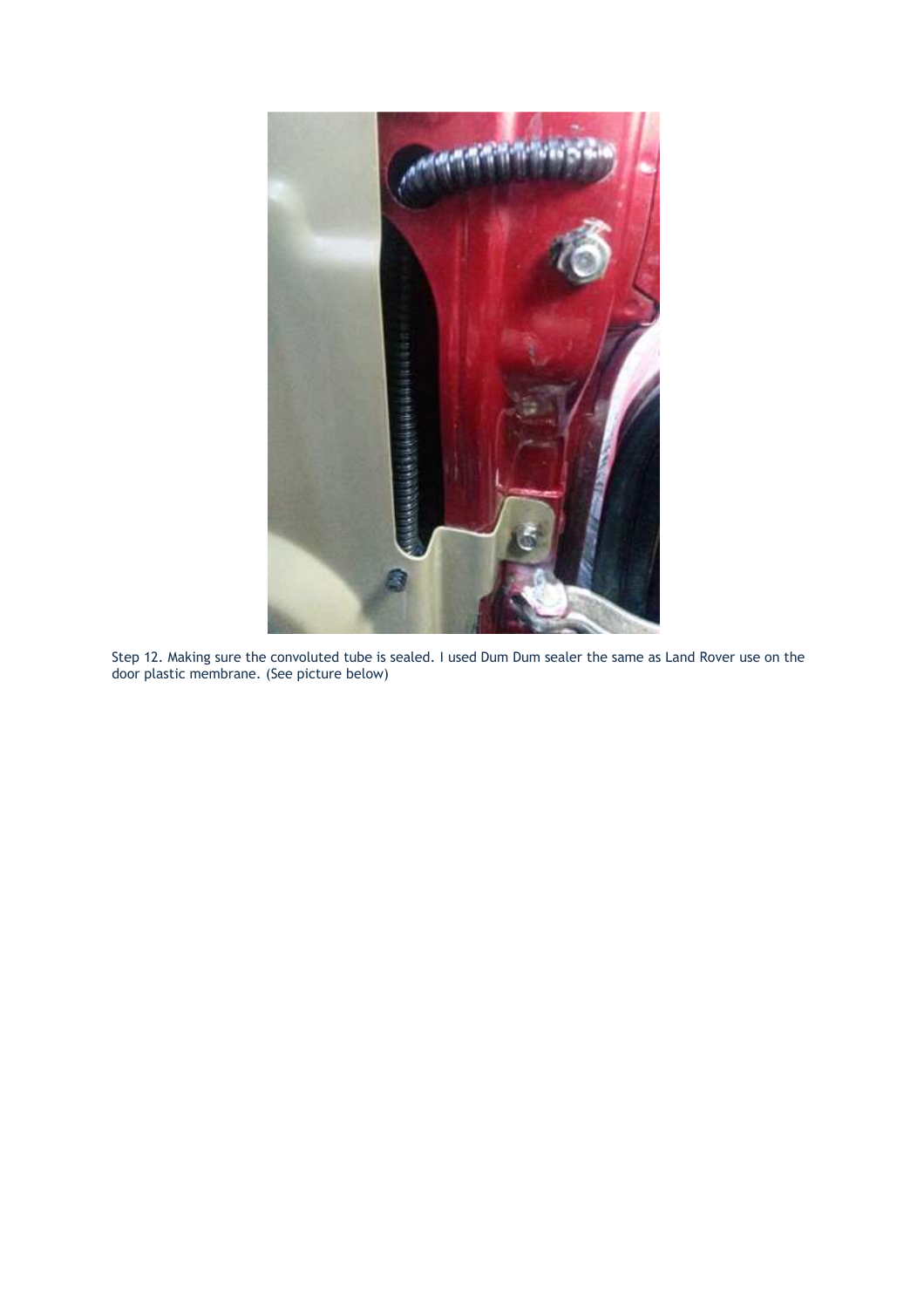

Step 12. Making sure the convoluted tube is sealed. I used Dum Dum sealer the same as Land Rover use on the door plastic membrane. (See picture below)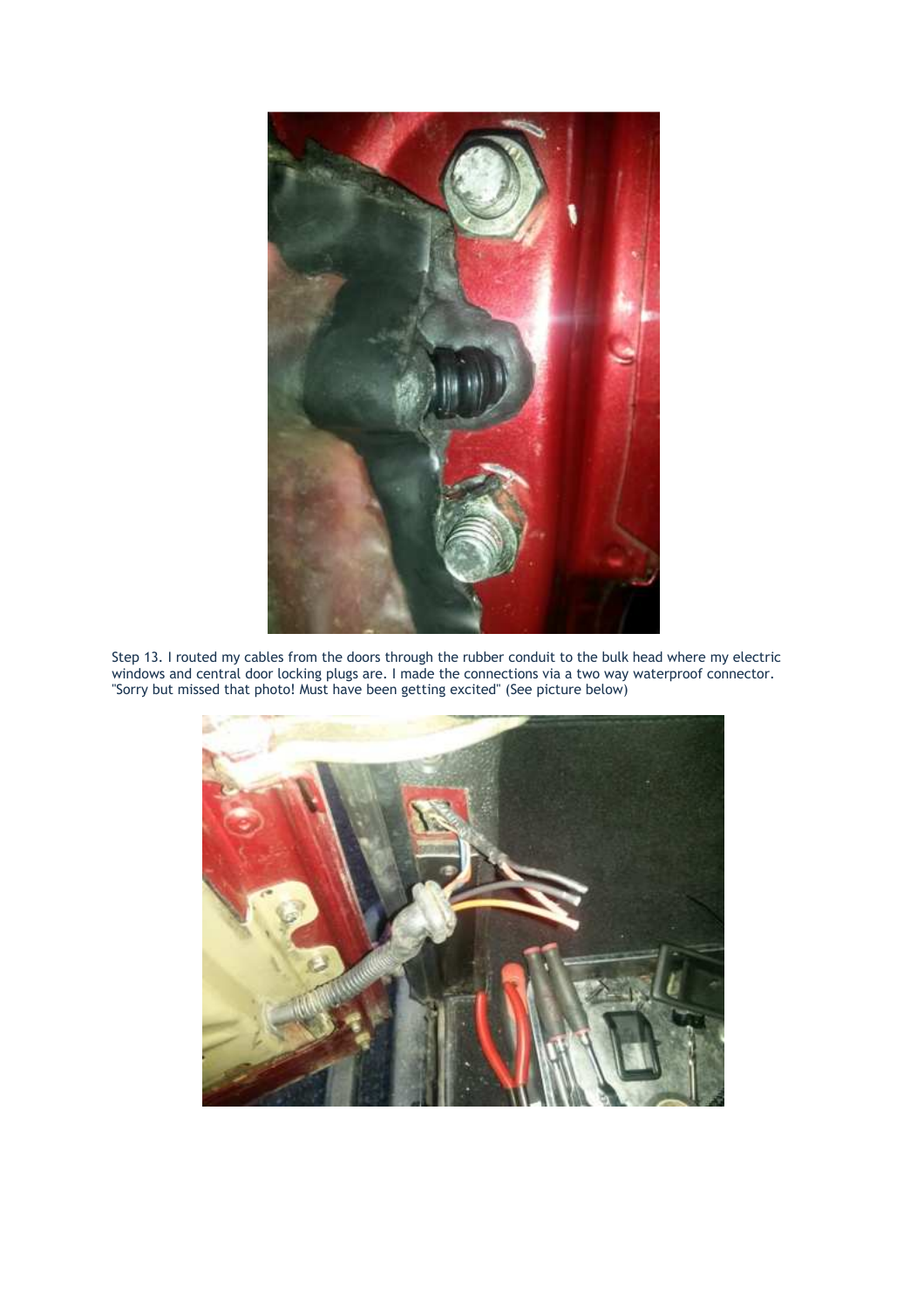

Step 13. I routed my cables from the doors through the rubber conduit to the bulk head where my electric windows and central door locking plugs are. I made the connections via a two way waterproof connector. "Sorry but missed that photo! Must have been getting excited" (See picture below)

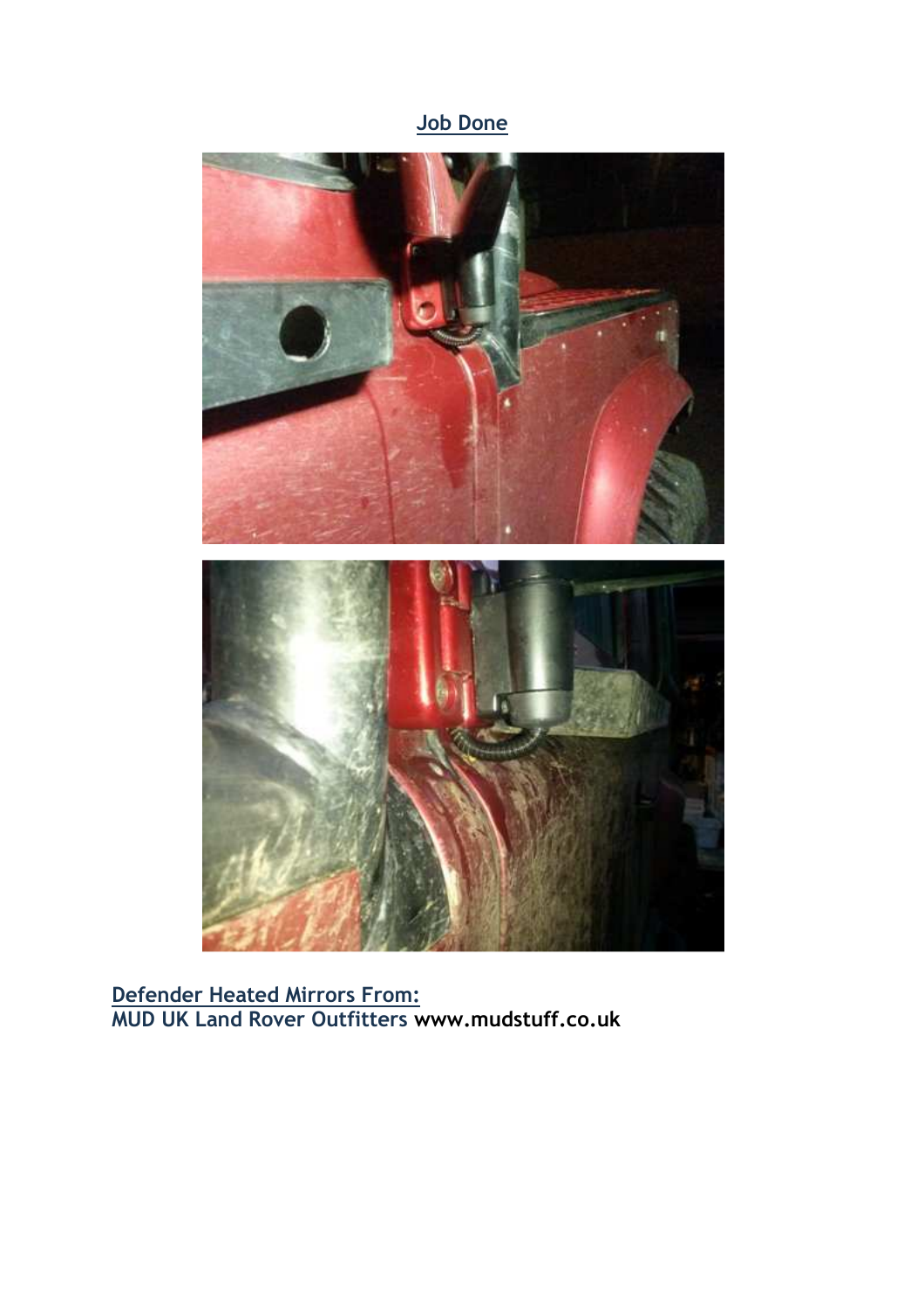## **Job Done**



**Defender Heated Mirrors From: MUD UK Land Rover Outfitters www.mudstuff.co.uk**